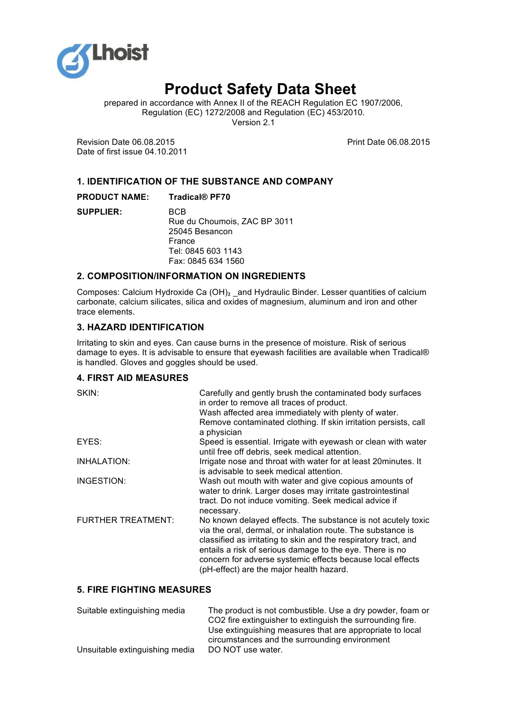

# **Product Safety Data Sheet**

prepared in accordance with Annex II of the REACH Regulation EC 1907/2006, Regulation (EC) 1272/2008 and Regulation (EC) 453/2010. Version 2.1

Revision Date 06.08.2015 Date of first issue 04.10.2011 Print Date 06.08.2015

# **1. IDENTIFICATION OF THE SUBSTANCE AND COMPANY**

**PRODUCT NAME: Tradical® PF70** 

**SUPPLIER:** BCB Rue du Choumois, ZAC BP 3011 25045 Besancon France Tel: 0845 603 1143 Fax: 0845 634 1560

# **2. COMPOSITION/INFORMATION ON INGREDIENTS**

Composes: Calcium Hydroxide Ca (OH)<sub>2</sub> \_and Hydraulic Binder. Lesser quantities of calcium carbonate, calcium silicates, silica and oxides of magnesium, aluminum and iron and other trace elements.

## **3. HAZARD IDENTIFICATION**

Irritating to skin and eyes. Can cause burns in the presence of moisture. Risk of serious damage to eyes. It is advisable to ensure that eyewash facilities are available when Tradical® is handled. Gloves and goggles should be used.

# **4. FIRST AID MEASURES**

| SKIN:                     | Carefully and gently brush the contaminated body surfaces<br>in order to remove all traces of product.<br>Wash affected area immediately with plenty of water.<br>Remove contaminated clothing. If skin irritation persists, call<br>a physician                                                                                                                     |
|---------------------------|----------------------------------------------------------------------------------------------------------------------------------------------------------------------------------------------------------------------------------------------------------------------------------------------------------------------------------------------------------------------|
| EYES:                     | Speed is essential. Irrigate with eyewash or clean with water<br>until free off debris, seek medical attention.                                                                                                                                                                                                                                                      |
| INHALATION:               | Irrigate nose and throat with water for at least 20 minutes. It<br>is advisable to seek medical attention.                                                                                                                                                                                                                                                           |
| INGESTION:                | Wash out mouth with water and give copious amounts of<br>water to drink. Larger doses may irritate gastrointestinal<br>tract. Do not induce vomiting. Seek medical advice if<br>necessary.                                                                                                                                                                           |
| <b>FURTHER TREATMENT:</b> | No known delayed effects. The substance is not acutely toxic<br>via the oral, dermal, or inhalation route. The substance is<br>classified as irritating to skin and the respiratory tract, and<br>entails a risk of serious damage to the eye. There is no<br>concern for adverse systemic effects because local effects<br>(pH-effect) are the major health hazard. |

## **5. FIRE FIGHTING MEASURES**

| Suitable extinguishing media   | The product is not combustible. Use a dry powder, foam or |
|--------------------------------|-----------------------------------------------------------|
|                                | CO2 fire extinguisher to extinguish the surrounding fire. |
|                                | Use extinguishing measures that are appropriate to local  |
|                                | circumstances and the surrounding environment             |
| Unsuitable extinguishing media | DO NOT use water.                                         |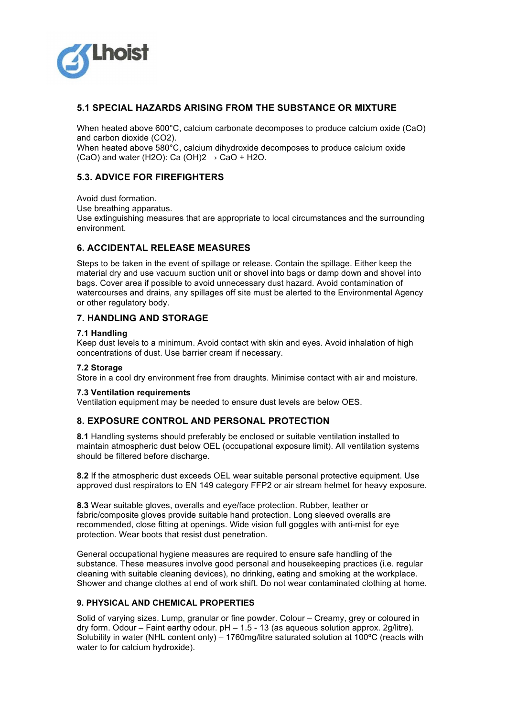

# **5.1 SPECIAL HAZARDS ARISING FROM THE SUBSTANCE OR MIXTURE**

When heated above 600°C, calcium carbonate decomposes to produce calcium oxide (CaO) and carbon dioxide (CO2).

When heated above 580°C, calcium dihydroxide decomposes to produce calcium oxide (CaO) and water (H2O): Ca (OH) $2 \rightarrow$  CaO + H2O.

# **5.3. ADVICE FOR FIREFIGHTERS**

Avoid dust formation. Use breathing apparatus. Use extinguishing measures that are appropriate to local circumstances and the surrounding environment.

# **6. ACCIDENTAL RELEASE MEASURES**

Steps to be taken in the event of spillage or release. Contain the spillage. Either keep the material dry and use vacuum suction unit or shovel into bags or damp down and shovel into bags. Cover area if possible to avoid unnecessary dust hazard. Avoid contamination of watercourses and drains, any spillages off site must be alerted to the Environmental Agency or other regulatory body.

## **7. HANDLING AND STORAGE**

#### **7.1 Handling**

Keep dust levels to a minimum. Avoid contact with skin and eyes. Avoid inhalation of high concentrations of dust. Use barrier cream if necessary.

#### **7.2 Storage**

Store in a cool dry environment free from draughts. Minimise contact with air and moisture.

#### **7.3 Ventilation requirements**

Ventilation equipment may be needed to ensure dust levels are below OES.

## **8. EXPOSURE CONTROL AND PERSONAL PROTECTION**

**8.1** Handling systems should preferably be enclosed or suitable ventilation installed to maintain atmospheric dust below OEL (occupational exposure limit). All ventilation systems should be filtered before discharge.

**8.2** If the atmospheric dust exceeds OEL wear suitable personal protective equipment. Use approved dust respirators to EN 149 category FFP2 or air stream helmet for heavy exposure.

**8.3** Wear suitable gloves, overalls and eye/face protection. Rubber, leather or fabric/composite gloves provide suitable hand protection. Long sleeved overalls are recommended, close fitting at openings. Wide vision full goggles with anti-mist for eye protection. Wear boots that resist dust penetration.

General occupational hygiene measures are required to ensure safe handling of the substance. These measures involve good personal and housekeeping practices (i.e. regular cleaning with suitable cleaning devices), no drinking, eating and smoking at the workplace. Shower and change clothes at end of work shift. Do not wear contaminated clothing at home.

## **9. PHYSICAL AND CHEMICAL PROPERTIES**

Solid of varying sizes. Lump, granular or fine powder. Colour – Creamy, grey or coloured in dry form. Odour – Faint earthy odour. pH – 1.5 - 13 (as aqueous solution approx. 2g/litre). Solubility in water (NHL content only) – 1760mg/litre saturated solution at 100ºC (reacts with water to for calcium hydroxide).